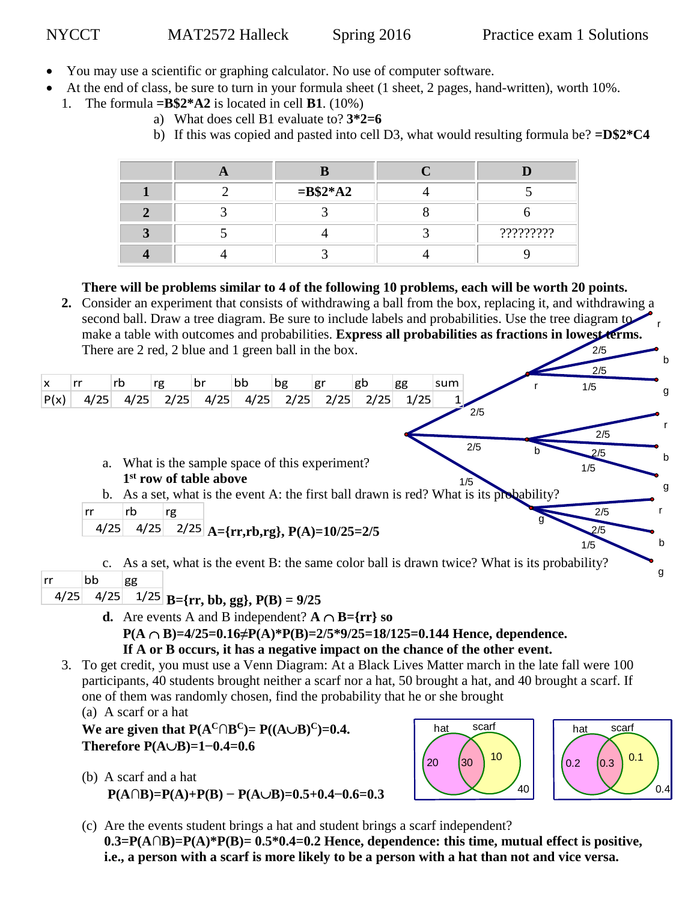b

 $0.4$ 

r

- You may use a scientific or graphing calculator. No use of computer software.
- At the end of class, be sure to turn in your formula sheet (1 sheet, 2 pages, hand-written), worth 10%.
- 1. The formula  $=B$2*A2$  is located in cell **B1**. (10%)
	- a) What does cell B1 evaluate to? **3\*2=6**
	- b) If this was copied and pasted into cell D3, what would resulting formula be? **=D\$2\*C4**

|  | $=$ <b>B</b> \$2*A2 |           |
|--|---------------------|-----------|
|  |                     |           |
|  |                     | ????????? |
|  |                     |           |

**There will be problems similar to 4 of the following 10 problems, each will be worth 20 points.**

2/5 **2.** Consider an experiment that consists of withdrawing a ball from the box, replacing it, and withdrawing a second ball. Draw a tree diagram. Be sure to include labels and probabilities. Use the tree diagram to make a table with outcomes and probabilities. **Express all probabilities as fractions in lowest terms.**  There are 2 red, 2 blue and 1 green ball in the box.

|           |      |      |                                    |      |                                                 |      |      |      |      |     |                                                                                                | 2/5        |             |
|-----------|------|------|------------------------------------|------|-------------------------------------------------|------|------|------|------|-----|------------------------------------------------------------------------------------------------|------------|-------------|
| X         | rr   | rb   | rg                                 | br   | bb                                              | bg   | gr   | gb   | gg   | sum |                                                                                                | 1/5        |             |
| P(x)      | 4/25 | 4/25 | 2/25                               | 4/25 | 4/25                                            | 2/25 | 2/25 | 2/25 | 1/25 |     |                                                                                                |            | g           |
|           |      |      |                                    |      |                                                 |      |      |      |      |     | 2/5                                                                                            | 2/5        |             |
|           |      |      | 1 <sup>st</sup> row of table above |      | a. What is the sample space of this experiment? |      |      |      |      |     | 2/5                                                                                            | 2/5<br>1/5 | b           |
|           |      |      |                                    |      |                                                 |      |      |      |      |     | 1/5<br>b. As a set, what is the event A: the first ball drawn is red? What is its probability? |            | g           |
|           | rr   | rb   | rg                                 |      |                                                 |      |      |      |      |     |                                                                                                | 2/5        |             |
|           | 4/25 | 4/25 |                                    |      | $2/25$ A={rr,rb,rg}, P(A)=10/25=2/5             |      |      |      |      |     |                                                                                                | 2/5<br>1/5 | $\mathbf b$ |
| <b>rr</b> | bb   | gg   |                                    |      |                                                 |      |      |      |      |     | c. As a set, what is the event B: the same color ball is drawn twice? What is its probability? |            | g           |

 $4/25$   $4/25$   $1/25$   $B = {rr, bb, gg}$ ,  $P(B) = 9/25$ 

- **d.** Are events A and B independent?  $A \cap B = \{rr\}$  so
	- **P(A B)=4/25=0.16≠P(A)\*P(B)=2/5\*9/25=18/125=0.144 Hence, dependence.**
- **If A or B occurs, it has a negative impact on the chance of the other event.** 3. To get credit, you must use a Venn Diagram: At a Black Lives Matter march in the late fall were 100
	- participants, 40 students brought neither a scarf nor a hat, 50 brought a hat, and 40 brought a scarf. If one of them was randomly chosen, find the probability that he or she brought (a) A scarf or a hat

**We are given that**  $P(A^C \cap B^C) = P((A \cup B)^C) = 0.4$ **. Therefore P(AB)=1−0.4=0.6**

(b) A scarf and a hat  $P(A \cap B) = P(A) + P(B) - P(A \cup B) = 0.5 + 0.4 - 0.6 = 0.3$ 



(c) Are the events student brings a hat and student brings a scarf independent? **0.3=P(A∩B)=P(A)\*P(B)= 0.5\*0.4=0.2 Hence, dependence: this time, mutual effect is positive, i.e., a person with a scarf is more likely to be a person with a hat than not and vice versa.**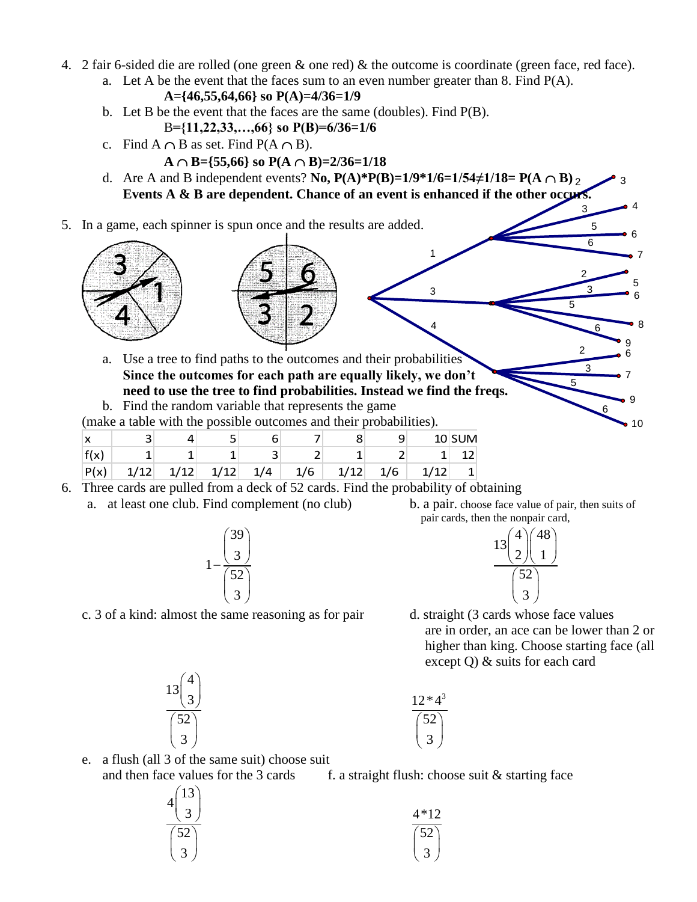- 4. 2 fair 6-sided die are rolled (one green & one red) & the outcome is coordinate (green face, red face).
	- a. Let A be the event that the faces sum to an even number greater than  $8$ . Find  $P(A)$ .

A= 
$$
\{46,55,64,66\}
$$
 so P(A)= $4/36=1/9$ 

- b. Let B be the event that the faces are the same (doubles). Find P(B).
- B**={11,22,33,…,66} so P(B)=6/36=1/6**
- c. Find  $A \cap B$  as set. Find  $P(A \cap B)$ .
	- $A \cap B = \{55,66\}$  so  $P(A \cap B) = 2/36 = 1/18$
- d. Are A and B independent events? **No, P(A)\*P(B)=1/9\*1/6=1/54** $\neq$ 1/18= **P(A**  $\cap$  B)<sub>2</sub> 3 **Events A & B are dependent. Chance of an event is enhanced if the other occurs.**

1

3

4

5. In a game, each spinner is spun once and the results are added.





a. Use a tree to find paths to the outcomes and their probabilities **Since the outcomes for each path are equally likely, we don't need to use the tree to find probabilities. Instead we find the freqs.**

b. Find the random variable that represents the game

(make a table with the possible outcomes and their probabilities).

| X    |      |      |      |     |     |      |     | $10$ SUM |
|------|------|------|------|-----|-----|------|-----|----------|
| f(x) |      |      |      | ٮ   |     |      |     |          |
| P(x) | 1/12 | 1/12 | 1/12 | 1/4 | 1/6 | 1/12 | 1/6 |          |

- 6. Three cards are pulled from a deck of 52 cards. Find the probability of obtaining
	- a. at least one club. Find complement (no club) b. a pair. choose face value of pair, then suits of



pair cards, then the nonpair card,

3 5 6

6

9

6 7 7

5 6

• 8

10

9

4

2 3

2 3 5

6

6

5



c. 3 of a kind: almost the same reasoning as for pair d. straight (3 cards whose face values are in order, an ace can be lower than 2 or higher than king. Choose starting face (all except Q) & suits for each card



 $12 * 4^3$ 52  $\binom{52}{3}$ 

e. a flush (all 3 of the same suit) choose suit and then face values for the 3 cards f. a straight flush: choose suit  $&$  starting face

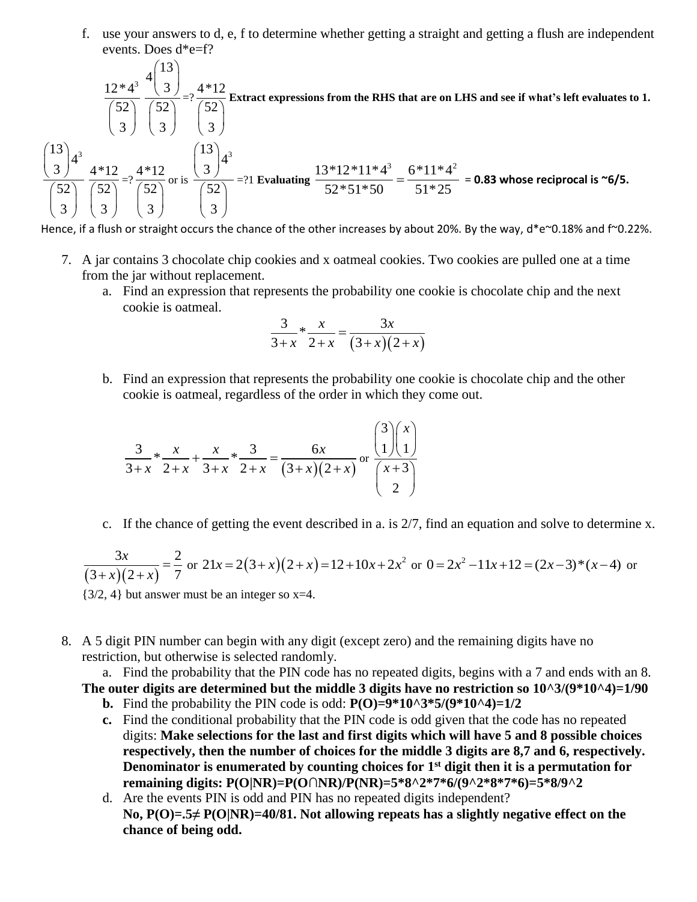f. use your answers to d, e, f to determine whether getting a straight and getting a flush are independent events. Does d\*e=f?

 $12 * 4^3$ 52  $\binom{52}{3}$ 13 4 3 52 3  $\binom{13}{3}$  $\frac{(3)}{\binom{52}{3}} = ? \frac{4*12}{\binom{52}{3}}$ 52  $\binom{52}{3}$ **Extract expressions from the RHS that are on LHS and see if what's left evaluates to 1.**  $\left[13\right)_{4^3}$ 4 3 52 3  $\binom{13}{3}$  $\binom{52}{3}$ 4\*12 52  $\binom{52}{3}$  $=? \frac{4*12}{1}$ 52  $\binom{52}{3}$ or is  $\left[13\right)_{43}$ 4 3 52 3  $\binom{13}{3}$  $\frac{3}{3}$ <br> $\left(\frac{52}{3}\right)$  = ?1 **Evaluating**  $\frac{13*12*11*4^3}{52*51*50}$  =  $\frac{6*11*4^2}{51*25}$  $\frac{5}{52*51*50}$  =  $\frac{0.11}{51*25}$  = 0.83 whose reciprocal is ~6/5.

Hence, if a flush or straight occurs the chance of the other increases by about 20%. By the way, d\*e~0.18% and f~0.22%.

- 7. A jar contains 3 chocolate chip cookies and x oatmeal cookies. Two cookies are pulled one at a time from the jar without replacement.
	- a. Find an expression that represents the probability one cookie is chocolate chip and the next cookie is oatmeal.

$$
\frac{3}{3+x} * \frac{x}{2+x} = \frac{3x}{(3+x)(2+x)}
$$

b. Find an expression that represents the probability one cookie is chocolate chip and the other cookie is oatmeal, regardless of the order in which they come out.

$$
\frac{3}{3+x} \times \frac{x}{2+x} + \frac{x}{3+x} \times \frac{3}{2+x} = \frac{6x}{(3+x)(2+x)} \text{ or } \frac{\binom{3}{1}\binom{x}{1}}{\binom{x+3}{2}}
$$

c. If the chance of getting the event described in a. is 2/7, find an equation and solve to determine x.

 $(3+x)(2+x)$  $3x$  2  $\frac{3+x}{2+x}$   $\frac{2+x}{7}$ *x*  $\frac{3x}{(x+x)(2+x)} = \frac{2}{7}$  or  $21x = 2(3+x)(2+x) = 12+10x+2x^2$  $21x = 2(3+x)(2+x) = 12+10x+2x^2$  or  $0=2x^2$  $0 = 2x^2 - 11x + 12 = (2x - 3)*(x - 4)$  or {3/2, 4} but answer must be an integer so x=4.

8. A 5 digit PIN number can begin with any digit (except zero) and the remaining digits have no restriction, but otherwise is selected randomly.

a. Find the probability that the PIN code has no repeated digits, begins with a 7 and ends with an 8. **The outer digits are determined but the middle 3 digits have no restriction so 10^3/(9\*10^4)=1/90**

- **b.** Find the probability the PIN code is odd:  $P(O)=9*10^{3}*5/(9*10^{4})=1/2$
- **c.** Find the conditional probability that the PIN code is odd given that the code has no repeated digits: **Make selections for the last and first digits which will have 5 and 8 possible choices respectively, then the number of choices for the middle 3 digits are 8,7 and 6, respectively. Denominator is enumerated by counting choices for 1st digit then it is a permutation for remaining digits: P(O|NR)=P(O∩NR)/P(NR)=5\*8^2\*7\*6/(9^2\*8\*7\*6)=5\*8/9^2**
- d. Are the events PIN is odd and PIN has no repeated digits independent? **No, P(O)=.5≠ P(O|NR)=40/81. Not allowing repeats has a slightly negative effect on the chance of being odd.**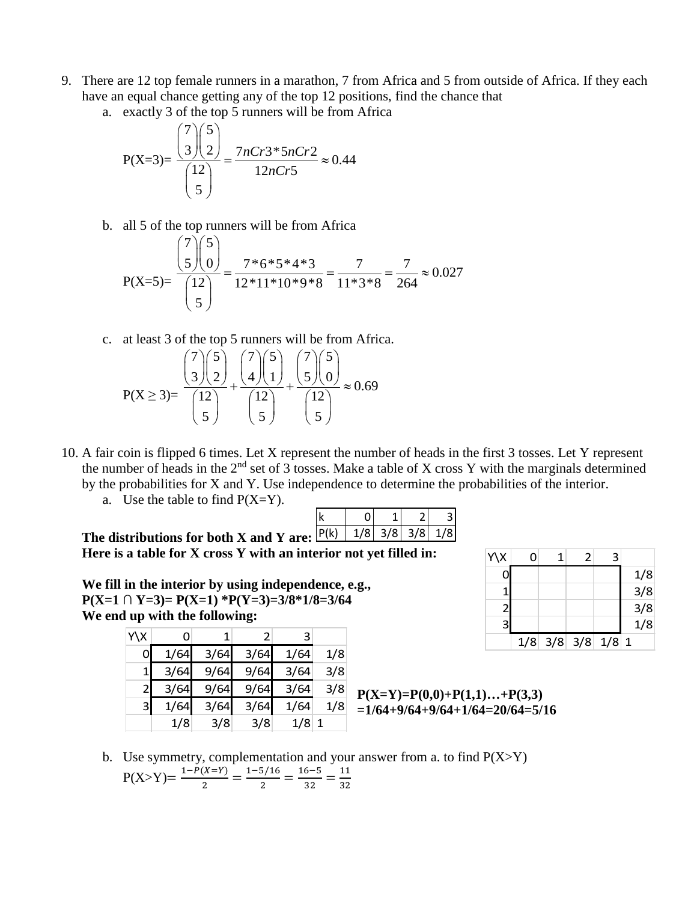- 9. There are 12 top female runners in a marathon, 7 from Africa and 5 from outside of Africa. If they each have an equal chance getting any of the top 12 positions, find the chance that
	-

a. exactly 3 of the top 5 runner will be from Africa  
\n
$$
P(X=3) = \frac{{7 \choose 3} {5 \choose 2}}{{12 \choose 5}} = \frac{7nCr3*5nCr2}{12nCr5} \approx 0.44
$$

b. all 5 of the top runners will be from Africa

all 5 of the top runner will be from Africa  
\n
$$
P(X=5) = \frac{{\binom{7}{5}} {\binom{5}{0}}}{{\binom{12}{5}}} = \frac{7 * 6 * 5 * 4 * 3}{12 * 11 * 10 * 9 * 8} = \frac{7}{11 * 3 * 8} = \frac{7}{264} \approx 0.027
$$

c. at least 3 of the top 5 numbers will be from Africa.  
\n
$$
P(X \ge 3) = \frac{{\binom{7}{3}} {\binom{5}{2}}}{{\binom{12}{5}}} + \frac{{\binom{7}{3}} {\binom{5}{0}}}{{\binom{12}{5}}} + \frac{{\binom{7}{3}} {\binom{5}{0}}}{{\binom{12}{5}}} \approx 0.69
$$

- 10. A fair coin is flipped 6 times. Let X represent the number of heads in the first 3 tosses. Let Y represent the number of heads in the  $2<sup>nd</sup>$  set of 3 tosses. Make a table of X cross Y with the marginals determined by the probabilities for X and Y. Use independence to determine the probabilities of the interior.
	- a. Use the table to find  $P(X=Y)$ .

| The distributions for both X and Y are: $\frac{ P(k) }{ 1/8 } \frac{1}{3/8} \frac{3}{8} \frac{1}{1/8}$ |  |  |  |
|--------------------------------------------------------------------------------------------------------|--|--|--|
|                                                                                                        |  |  |  |

**Here is a table for X cross Y with an interior not yet filled in:**

**We fill in the interior by using independence, e.g., P(X=1 ∩ Y=3)= P(X=1) \*P(Y=3)=3/8\*1/8=3/64 We end up with the following:** 

| Y\X          | 0    |      |      | 3    |     |
|--------------|------|------|------|------|-----|
| O            | 1/64 | 3/64 | 3/64 | 1/64 | 1/8 |
|              | 3/64 | 9/64 | 9/64 | 3/64 | 3/8 |
| $\mathbf{2}$ | 3/64 | 9/64 | 9/64 | 3/64 | 3/8 |
| 3            | 1/64 | 3/64 | 3/64 | 1/64 | 1/8 |
|              | 1/8  | 3/8  | 3/8  | 1/8  |     |

| Y\X |                       | 3 |     |
|-----|-----------------------|---|-----|
|     |                       |   | 1/8 |
|     |                       |   | 3/8 |
| 2   |                       |   | 3/8 |
| 3   |                       |   | 1/8 |
|     | $1/8$ 3/8 3/8 $1/8$ 1 |   |     |

$$
P(X=Y)=P(0,0)+P(1,1)...+P(3,3)
$$
  
=1/64+9/64+9/64+1/64=20/64=5/16

b. Use symmetry, complementation and your answer from a. to find  $P(X>Y)$  $P(X>Y) = \frac{1-P(X=Y)}{P(X=Y)}$  $\frac{(X=Y)}{2} = \frac{1-5/16}{2}$  $\frac{5/16}{2} = \frac{16-5}{32}$  $\frac{6-5}{32} = \frac{11}{32}$ 32